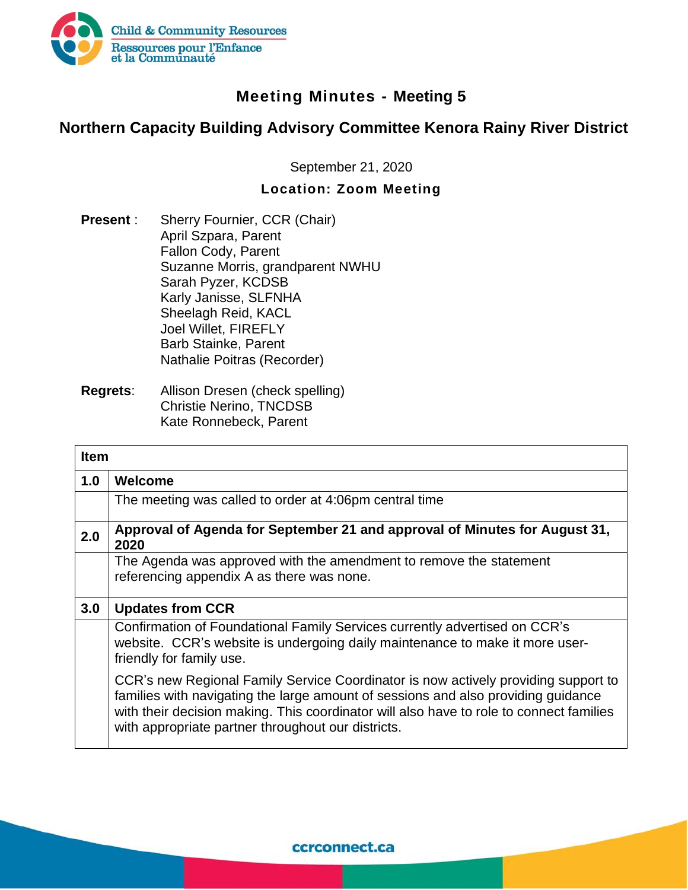

## **Meeting Minutes - Meeting 5**

## **Northern Capacity Building Advisory Committee Kenora Rainy River District**

September 21, 2020

## **Location: Zoom Meeting**

- **Present** : Sherry Fournier, CCR (Chair) April Szpara, Parent Fallon Cody, Parent Suzanne Morris, grandparent NWHU Sarah Pyzer, KCDSB Karly Janisse, SLFNHA Sheelagh Reid, KACL Joel Willet, FIREFLY Barb Stainke, Parent Nathalie Poitras (Recorder)
- **Regrets**: Allison Dresen (check spelling) Christie Nerino, TNCDSB Kate Ronnebeck, Parent

| <b>Item</b> |                                                                                                                                                                                                                                                                                                                          |
|-------------|--------------------------------------------------------------------------------------------------------------------------------------------------------------------------------------------------------------------------------------------------------------------------------------------------------------------------|
| 1.0         | Welcome                                                                                                                                                                                                                                                                                                                  |
|             | The meeting was called to order at 4:06pm central time                                                                                                                                                                                                                                                                   |
| 2.0         | Approval of Agenda for September 21 and approval of Minutes for August 31,<br>2020                                                                                                                                                                                                                                       |
|             | The Agenda was approved with the amendment to remove the statement<br>referencing appendix A as there was none.                                                                                                                                                                                                          |
| 3.0         | <b>Updates from CCR</b>                                                                                                                                                                                                                                                                                                  |
|             | Confirmation of Foundational Family Services currently advertised on CCR's<br>website. CCR's website is undergoing daily maintenance to make it more user-<br>friendly for family use.                                                                                                                                   |
|             | CCR's new Regional Family Service Coordinator is now actively providing support to<br>families with navigating the large amount of sessions and also providing guidance<br>with their decision making. This coordinator will also have to role to connect families<br>with appropriate partner throughout our districts. |